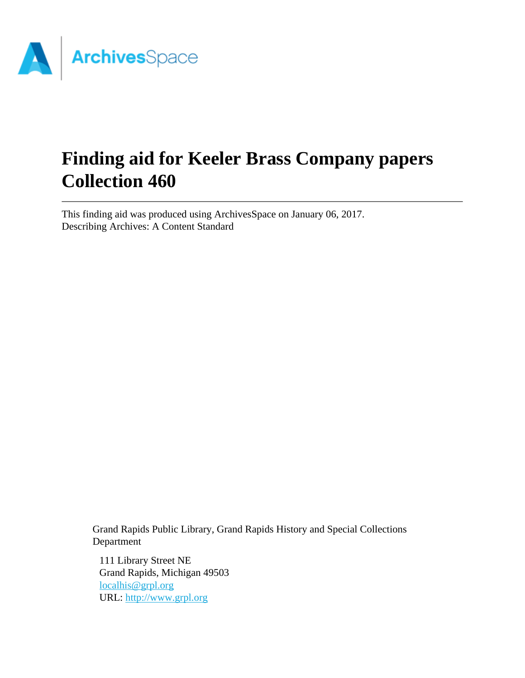

# **Finding aid for Keeler Brass Company papers Collection 460**

This finding aid was produced using ArchivesSpace on January 06, 2017. Describing Archives: A Content Standard

> Grand Rapids Public Library, Grand Rapids History and Special Collections Department

111 Library Street NE Grand Rapids, Michigan 49503 [localhis@grpl.org](mailto:localhis@grpl.org) URL:<http://www.grpl.org>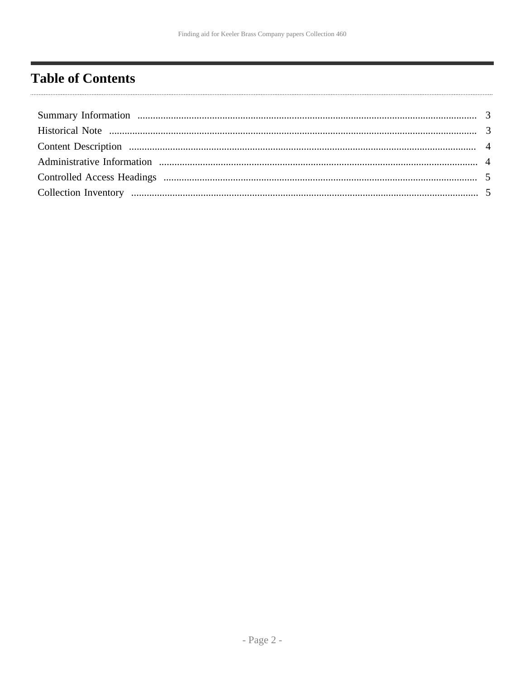# <span id="page-1-0"></span>**Table of Contents**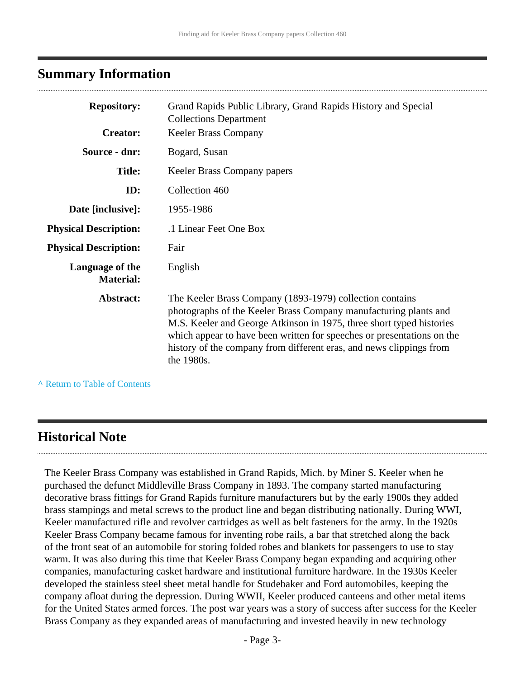#### <span id="page-2-0"></span>**Summary Information**

| <b>Repository:</b>                  | Grand Rapids Public Library, Grand Rapids History and Special<br><b>Collections Department</b>                                                                                                                                                                                                                                                                      |
|-------------------------------------|---------------------------------------------------------------------------------------------------------------------------------------------------------------------------------------------------------------------------------------------------------------------------------------------------------------------------------------------------------------------|
| <b>Creator:</b>                     | <b>Keeler Brass Company</b>                                                                                                                                                                                                                                                                                                                                         |
| Source - dnr:                       | Bogard, Susan                                                                                                                                                                                                                                                                                                                                                       |
| <b>Title:</b>                       | Keeler Brass Company papers                                                                                                                                                                                                                                                                                                                                         |
| ID:                                 | Collection 460                                                                                                                                                                                                                                                                                                                                                      |
| Date [inclusive]:                   | 1955-1986                                                                                                                                                                                                                                                                                                                                                           |
| <b>Physical Description:</b>        | .1 Linear Feet One Box                                                                                                                                                                                                                                                                                                                                              |
| <b>Physical Description:</b>        | Fair                                                                                                                                                                                                                                                                                                                                                                |
| Language of the<br><b>Material:</b> | English                                                                                                                                                                                                                                                                                                                                                             |
| Abstract:                           | The Keeler Brass Company (1893-1979) collection contains<br>photographs of the Keeler Brass Company manufacturing plants and<br>M.S. Keeler and George Atkinson in 1975, three short typed histories<br>which appear to have been written for speeches or presentations on the<br>history of the company from different eras, and news clippings from<br>the 1980s. |

**^** [Return to Table of Contents](#page-1-0)

#### <span id="page-2-1"></span>**Historical Note**

The Keeler Brass Company was established in Grand Rapids, Mich. by Miner S. Keeler when he purchased the defunct Middleville Brass Company in 1893. The company started manufacturing decorative brass fittings for Grand Rapids furniture manufacturers but by the early 1900s they added brass stampings and metal screws to the product line and began distributing nationally. During WWI, Keeler manufactured rifle and revolver cartridges as well as belt fasteners for the army. In the 1920s Keeler Brass Company became famous for inventing robe rails, a bar that stretched along the back of the front seat of an automobile for storing folded robes and blankets for passengers to use to stay warm. It was also during this time that Keeler Brass Company began expanding and acquiring other companies, manufacturing casket hardware and institutional furniture hardware. In the 1930s Keeler developed the stainless steel sheet metal handle for Studebaker and Ford automobiles, keeping the company afloat during the depression. During WWII, Keeler produced canteens and other metal items for the United States armed forces. The post war years was a story of success after success for the Keeler Brass Company as they expanded areas of manufacturing and invested heavily in new technology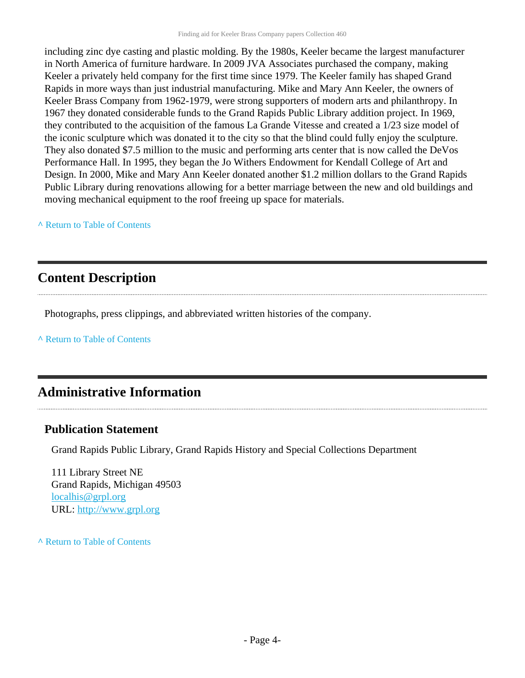including zinc dye casting and plastic molding. By the 1980s, Keeler became the largest manufacturer in North America of furniture hardware. In 2009 JVA Associates purchased the company, making Keeler a privately held company for the first time since 1979. The Keeler family has shaped Grand Rapids in more ways than just industrial manufacturing. Mike and Mary Ann Keeler, the owners of Keeler Brass Company from 1962-1979, were strong supporters of modern arts and philanthropy. In 1967 they donated considerable funds to the Grand Rapids Public Library addition project. In 1969, they contributed to the acquisition of the famous La Grande Vitesse and created a 1/23 size model of the iconic sculpture which was donated it to the city so that the blind could fully enjoy the sculpture. They also donated \$7.5 million to the music and performing arts center that is now called the DeVos Performance Hall. In 1995, they began the Jo Withers Endowment for Kendall College of Art and Design. In 2000, Mike and Mary Ann Keeler donated another \$1.2 million dollars to the Grand Rapids Public Library during renovations allowing for a better marriage between the new and old buildings and moving mechanical equipment to the roof freeing up space for materials.

#### **^** [Return to Table of Contents](#page-1-0)

#### <span id="page-3-0"></span>**Content Description**

Photographs, press clippings, and abbreviated written histories of the company.

**^** [Return to Table of Contents](#page-1-0)

#### <span id="page-3-1"></span>**Administrative Information**

#### **Publication Statement**

Grand Rapids Public Library, Grand Rapids History and Special Collections Department

111 Library Street NE Grand Rapids, Michigan 49503 [localhis@grpl.org](mailto:localhis@grpl.org) URL:<http://www.grpl.org>

**^** [Return to Table of Contents](#page-1-0)